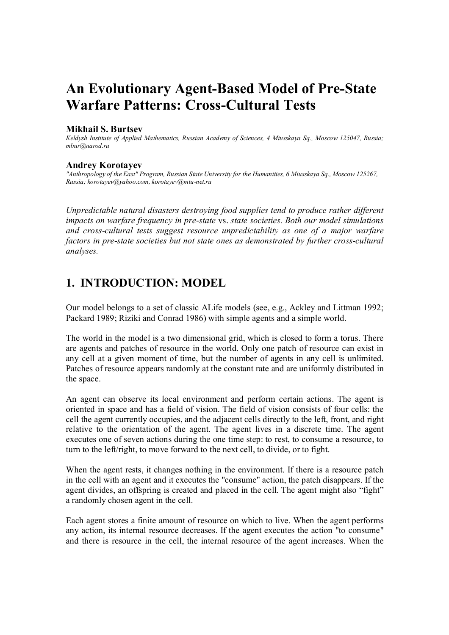# **An Evolutionary Agent-Based Model of Pre-State Warfare Patterns: Cross-Cultural Tests**

#### **Mikhail S. Burtsev**

*Keldysh Institute of Applied Mathematics, Russian Academy of Sciences, 4 Miusskaya Sq., Moscow 125047, Russia; mbur@narod.ru* 

#### **Andrey Korotayev**

*"Anthropology of the East" Program, Russian State University for the Humanities, 6 Miusskaya Sq., Moscow 125267, Russia; korotayev@yahoo.com, korotayev@mtu-net.ru* 

*Unpredictable natural disasters destroying food supplies tend to produce rather different impacts on warfare frequency in pre-state* vs. *state societies. Both our model simulations and cross-cultural tests suggest resource unpredictability as one of a major warfare factors in pre-state societies but not state ones as demonstrated by further cross-cultural analyses.*

## **1. INTRODUCTION: MODEL**

Our model belongs to a set of classic ALife models (see, e.g., Ackley and Littman 1992; Packard 1989; Riziki and Conrad 1986) with simple agents and a simple world.

The world in the model is a two dimensional grid, which is closed to form a torus. There are agents and patches of resource in the world. Only one patch of resource can exist in any cell at a given moment of time, but the number of agents in any cell is unlimited. Patches of resource appears randomly at the constant rate and are uniformly distributed in the space.

An agent can observe its local environment and perform certain actions. The agent is oriented in space and has a field of vision. The field of vision consists of four cells: the cell the agent currently occupies, and the adjacent cells directly to the left, front, and right relative to the orientation of the agent. The agent lives in a discrete time. The agent executes one of seven actions during the one time step: to rest, to consume a resource, to turn to the left/right, to move forward to the next cell, to divide, or to fight.

When the agent rests, it changes nothing in the environment. If there is a resource patch in the cell with an agent and it executes the "consume" action, the patch disappears. If the agent divides, an offspring is created and placed in the cell. The agent might also "fight" a randomly chosen agent in the cell.

Each agent stores a finite amount of resource on which to live. When the agent performs any action, its internal resource decreases. If the agent executes the action "to consume" and there is resource in the cell, the internal resource of the agent increases. When the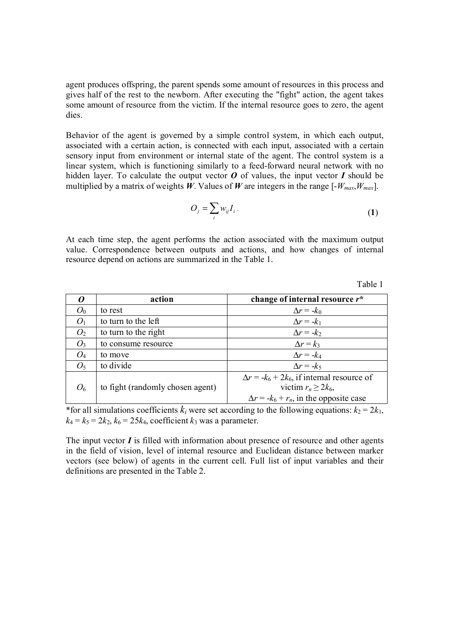agent produces offspring, the parent spends some amount of resources in this process and gives half of the rest to the newborn. After executing the "fight" action, the agent takes some amount of resource from the victim. If the internal resource goes to zero, the agent dies.

Behavior of the agent is governed by a simple control system, in which each output, associated with a certain action, is connected with each input, associated with a certain sensory input from environment or internal state of the agent. The control system is a linear system, which is functioning similarly to a feed-forward neural network with no hidden layer. To calculate the output vector  $\boldsymbol{O}$  of values, the input vector  $\boldsymbol{I}$  should be multiplied by a matrix of weights  $\hat{W}$ . Values of  $W$  are integers in the range  $[-W_{max},W_{max}]$ .

$$
O_j = \sum_i w_{ij} I_i \,. \tag{1}
$$

At each time step, the agent performs the action associated with the maximum output value. Correspondence between outputs and actions, and how changes of internal resource depend on actions are summarized in the Table 1.

|                | action                           | change of internal resource r*                     |
|----------------|----------------------------------|----------------------------------------------------|
| $O_0$          | to rest                          | $\Delta r = -k_0$                                  |
| O <sub>1</sub> | to turn to the left              | $\Delta r = -k_1$                                  |
| O <sub>2</sub> | to turn to the right             | $\Delta r = -k_2$                                  |
| $O_3$          | to consume resource              | $\Delta r = k_3$                                   |
| $O_4$          | to move                          | $\Delta r = -k_4$                                  |
| O <sub>5</sub> | to divide                        | $\Delta r = -k_5$                                  |
|                |                                  | $\Delta r = -k_6 + 2k_6$ , if internal resource of |
| O <sub>6</sub> | to fight (randomly chosen agent) | victim $r_n \geq 2k_6$ ,                           |
|                |                                  | $\Delta r = -k_6 + r_n$ , in the opposite case     |

\*for all simulations coefficients  $k_i$  were set according to the following equations:  $k_2 = 2k_1$ ,  $k_4 = k_5 = 2k_2$ ,  $k_6 = 25k_4$ , coefficient  $k_3$  was a parameter.

The input vector  $I$  is filled with information about presence of resource and other agents in the field of vision, level of internal resource and Euclidean distance between marker vectors (see below) of agents in the current cell. Full list of input variables and their definitions are presented in the Table 2.

Table 1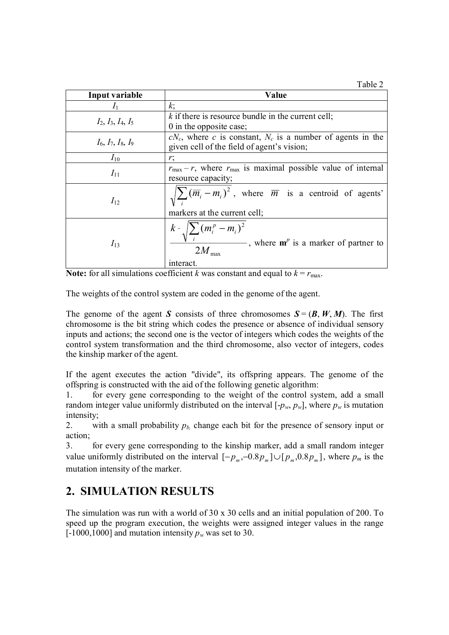Table 2

| Input variable                | Value                                                                                                                       |  |
|-------------------------------|-----------------------------------------------------------------------------------------------------------------------------|--|
| $\mathcal{L}_1$               | k;                                                                                                                          |  |
| $I_2$ , $I_3$ , $I_4$ , $I_5$ | $k$ if there is resource bundle in the current cell;                                                                        |  |
|                               | 0 in the opposite case;                                                                                                     |  |
|                               | $cN_c$ , where c is constant, $N_c$ is a number of agents in the                                                            |  |
| $I_6$ , $I_7$ , $I_8$ , $I_9$ | given cell of the field of agent's vision;                                                                                  |  |
| $I_{10}$                      | r;                                                                                                                          |  |
|                               | $r_{\text{max}} - r$ , where $r_{\text{max}}$ is maximal possible value of internal                                         |  |
| $I_{11}$                      | resource capacity;                                                                                                          |  |
| $I_{12}$                      | $\sqrt{\sum (m_i - m_i)^2}$ , where $\overline{m}$ is a centroid of agents'                                                 |  |
|                               | markers at the current cell;                                                                                                |  |
| $I_{13}$                      | $k \cdot \sqrt{\sum (m_i^p - m_i)^2}$<br>, where $\mathbf{m}^p$ is a marker of partner to<br>$2M_{\text{max}}$<br>interact. |  |

**Note:** for all simulations coefficient *k* was constant and equal to  $k = r_{\text{max}}$ .

The weights of the control system are coded in the genome of the agent.

The genome of the agent *S* consists of three chromosomes  $S = (B, W, M)$ . The first chromosome is the bit string which codes the presence or absence of individual sensory inputs and actions; the second one is the vector of integers which codes the weights of the control system transformation and the third chromosome, also vector of integers, codes the kinship marker of the agent.

If the agent executes the action "divide", its offspring appears. The genome of the offspring is constructed with the aid of the following genetic algorithm:

1. for every gene corresponding to the weight of the control system, add a small random integer value uniformly distributed on the interval  $[-p_w, p_w]$ , where  $p_w$  is mutation intensity;

2. with a small probability  $p_h$  change each bit for the presence of sensory input or action;

3. for every gene corresponding to the kinship marker, add a small random integer value uniformly distributed on the interval  $[-p_m, -0.8p_m] \cup [p_m, 0.8p_m]$ , where  $p_m$  is the mutation intensity of the marker.

# **2. SIMULATION RESULTS**

The simulation was run with a world of 30 x 30 cells and an initial population of 200. To speed up the program execution, the weights were assigned integer values in the range  $[-1000,1000]$  and mutation intensity  $p_w$  was set to 30.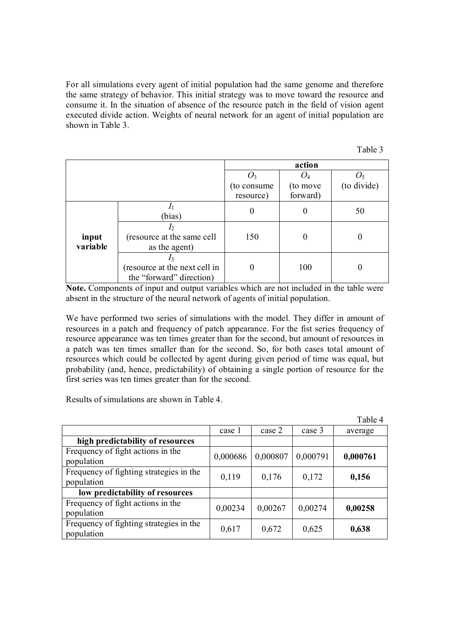For all simulations every agent of initial population had the same genome and therefore the same strategy of behavior. This initial strategy was to move toward the resource and consume it. In the situation of absence of the resource patch in the field of vision agent executed divide action. Weights of neural network for an agent of initial population are shown in Table 3.

| m | н |  |
|---|---|--|
|   |   |  |

|                   |                                                           | action       |          |             |
|-------------------|-----------------------------------------------------------|--------------|----------|-------------|
|                   |                                                           |              | $U_4$    |             |
|                   |                                                           | (to consume) | (to move | (to divide) |
|                   |                                                           | resource)    | forward) |             |
|                   | (bias)                                                    | $\theta$     | 0        | 50          |
| input<br>variable | $I_2$<br>(resource at the same cell<br>as the agent)      | 150          |          |             |
|                   | (resource at the next cell in<br>the "forward" direction) |              | 100      | $\theta$    |

**Note.** Components of input and output variables which are not included in the table were absent in the structure of the neural network of agents of initial population.

We have performed two series of simulations with the model. They differ in amount of resources in a patch and frequency of patch appearance. For the fist series frequency of resource appearance was ten times greater than for the second, but amount of resources in a patch was ten times smaller than for the second. So, for both cases total amount of resources which could be collected by agent during given period of time was equal, but probability (and, hence, predictability) of obtaining a single portion of resource for the first series was ten times greater than for the second.

Results of simulations are shown in Table 4.

|                                                       |          |          |          | Table 4  |
|-------------------------------------------------------|----------|----------|----------|----------|
|                                                       | case 1   | case 2   | case 3   | average  |
| high predictability of resources                      |          |          |          |          |
| Frequency of fight actions in the<br>population       | 0,000686 | 0,000807 | 0,000791 | 0,000761 |
| Frequency of fighting strategies in the<br>population | 0,119    | 0,176    | 0,172    | 0,156    |
| low predictability of resources                       |          |          |          |          |
| Frequency of fight actions in the<br>population       | 0,00234  | 0,00267  | 0,00274  | 0,00258  |
| Frequency of fighting strategies in the<br>population | 0,617    | 0,672    | 0,625    | 0,638    |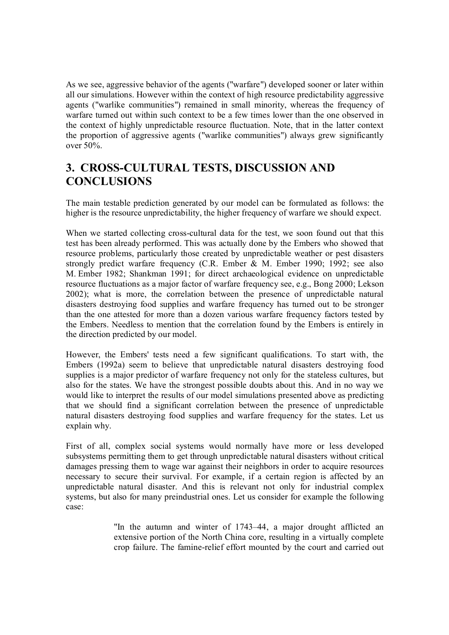As we see, aggressive behavior of the agents ("warfare") developed sooner or later within all our simulations. However within the context of high resource predictability aggressive agents ("warlike communities") remained in small minority, whereas the frequency of warfare turned out within such context to be a few times lower than the one observed in the context of highly unpredictable resource fluctuation. Note, that in the latter context the proportion of aggressive agents ("warlike communities") always grew significantly over 50%.

# **3. CROSS-CULTURAL TESTS, DISCUSSION AND CONCLUSIONS**

The main testable prediction generated by our model can be formulated as follows: the higher is the resource unpredictability, the higher frequency of warfare we should expect.

When we started collecting cross-cultural data for the test, we soon found out that this test has been already performed. This was actually done by the Embers who showed that resource problems, particularly those created by unpredictable weather or pest disasters strongly predict warfare frequency (C.R. Ember & M. Ember 1990; 1992; see also M. Ember 1982; Shankman 1991; for direct archaeological evidence on unpredictable resource fluctuations as a major factor of warfare frequency see, e.g., Bong 2000; Lekson 2002); what is more, the correlation between the presence of unpredictable natural disasters destroying food supplies and warfare frequency has turned out to be stronger than the one attested for more than a dozen various warfare frequency factors tested by the Embers. Needless to mention that the correlation found by the Embers is entirely in the direction predicted by our model.

However, the Embers' tests need a few significant qualifications. To start with, the Embers (1992a) seem to believe that unpredictable natural disasters destroying food supplies is a major predictor of warfare frequency not only for the stateless cultures, but also for the states. We have the strongest possible doubts about this. And in no way we would like to interpret the results of our model simulations presented above as predicting that we should find a significant correlation between the presence of unpredictable natural disasters destroying food supplies and warfare frequency for the states. Let us explain why.

First of all, complex social systems would normally have more or less developed subsystems permitting them to get through unpredictable natural disasters without critical damages pressing them to wage war against their neighbors in order to acquire resources necessary to secure their survival. For example, if a certain region is affected by an unpredictable natural disaster. And this is relevant not only for industrial complex systems, but also for many preindustrial ones. Let us consider for example the following case:

> "In the autumn and winter of 1743–44, a major drought afflicted an extensive portion of the North China core, resulting in a virtually complete crop failure. The famine-relief effort mounted by the court and carried out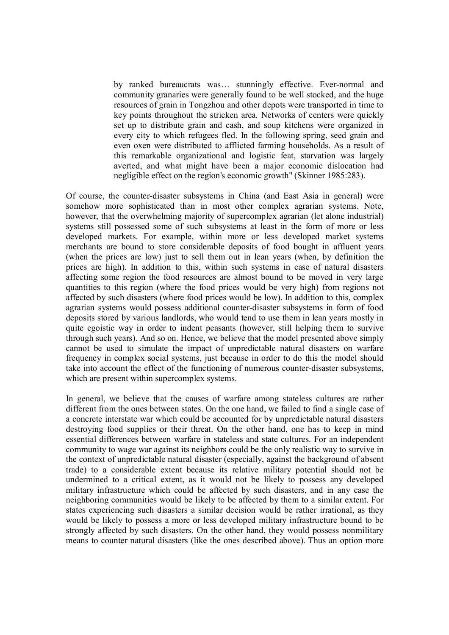by ranked bureaucrats was… stunningly effective. Ever-normal and community granaries were generally found to be well stocked, and the huge resources of grain in Tongzhou and other depots were transported in time to key points throughout the stricken area. Networks of centers were quickly set up to distribute grain and cash, and soup kitchens were organized in every city to which refugees fled. In the following spring, seed grain and even oxen were distributed to afflicted farming households. As a result of this remarkable organizational and logistic feat, starvation was largely averted, and what might have been a major economic dislocation had negligible effect on the region's economic growth" (Skinner 1985:283).

Of course, the counter-disaster subsystems in China (and East Asia in general) were somehow more sophisticated than in most other complex agrarian systems. Note, however, that the overwhelming majority of supercomplex agrarian (let alone industrial) systems still possessed some of such subsystems at least in the form of more or less developed markets. For example, within more or less developed market systems merchants are bound to store considerable deposits of food bought in affluent years (when the prices are low) just to sell them out in lean years (when, by definition the prices are high). In addition to this, within such systems in case of natural disasters affecting some region the food resources are almost bound to be moved in very large quantities to this region (where the food prices would be very high) from regions not affected by such disasters (where food prices would be low). In addition to this, complex agrarian systems would possess additional counter-disaster subsystems in form of food deposits stored by various landlords, who would tend to use them in lean years mostly in quite egoistic way in order to indent peasants (however, still helping them to survive through such years). And so on. Hence, we believe that the model presented above simply cannot be used to simulate the impact of unpredictable natural disasters on warfare frequency in complex social systems, just because in order to do this the model should take into account the effect of the functioning of numerous counter-disaster subsystems, which are present within supercomplex systems.

In general, we believe that the causes of warfare among stateless cultures are rather different from the ones between states. On the one hand, we failed to find a single case of a concrete interstate war which could be accounted for by unpredictable natural disasters destroying food supplies or their threat. On the other hand, one has to keep in mind essential differences between warfare in stateless and state cultures. For an independent community to wage war against its neighbors could be the only realistic way to survive in the context of unpredictable natural disaster (especially, against the background of absent trade) to a considerable extent because its relative military potential should not be undermined to a critical extent, as it would not be likely to possess any developed military infrastructure which could be affected by such disasters, and in any case the neighboring communities would be likely to be affected by them to a similar extent. For states experiencing such disasters a similar decision would be rather irrational, as they would be likely to possess a more or less developed military infrastructure bound to be strongly affected by such disasters. On the other hand, they would possess nonmilitary means to counter natural disasters (like the ones described above). Thus an option more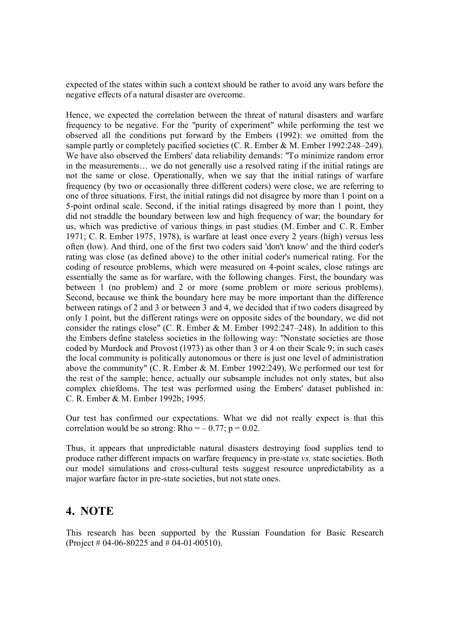expected of the states within such a context should be rather to avoid any wars before the negative effects of a natural disaster are overcome.

Hence, we expected the correlation between the threat of natural disasters and warfare frequency to be negative. For the "purity of experiment" while performing the test we observed all the conditions put forward by the Embers (1992): we omitted from the sample partly or completely pacified societies (C. R. Ember & M. Ember 1992:248–249). We have also observed the Embers' data reliability demands: "To minimize random error in the measurements… we do not generally use a resolved rating if the initial ratings are not the same or close. Operationally, when we say that the initial ratings of warfare frequency (by two or occasionally three different coders) were close, we are referring to one of three situations. First, the initial ratings did not disagree by more than 1 point on a 5-point ordinal scale. Second, if the initial ratings disagreed by more than 1 point, they did not straddle the boundary between low and high frequency of war; the boundary for us, which was predictive of various things in past studies (M. Ember and C. R. Ember 1971; C. R. Ember 1975, 1978), is warfare at least once every 2 years (high) versus less often (low). And third, one of the first two coders said 'don't know' and the third coder's rating was close (as defined above) to the other initial coder's numerical rating. For the coding of resource problems, which were measured on 4-point scales, close ratings are essentially the same as for warfare, with the following changes. First, the boundary was between 1 (no problem) and 2 or more (some problem or more serious problems). Second, because we think the boundary here may be more important than the difference between ratings of 2 and 3 or between 3 and 4, we decided that if two coders disagreed by only 1 point, but the different ratings were on opposite sides of the boundary, we did not consider the ratings close" (C. R. Ember & M. Ember 1992:247–248). In addition to this the Embers define stateless societies in the following way: "Nonstate societies are those coded by Murdock and Provost (1973) as other than 3 or 4 on their Scale 9; in such cases the local community is politically autonomous or there is just one level of administration above the community" (C. R. Ember & M. Ember 1992:249). We performed our test for the rest of the sample; hence, actually our subsample includes not only states, but also complex chiefdoms. The test was performed using the Embers' dataset published in: C. R. Ember & M. Ember 1992b; 1995.

Our test has confirmed our expectations. What we did not really expect is that this correlation would be so strong: Rho =  $-0.77$ ; p = 0.02.

Thus, it appears that unpredictable natural disasters destroying food supplies tend to produce rather different impacts on warfare frequency in pre-state *vs.* state societies. Both our model simulations and cross-cultural tests suggest resource unpredictability as a major warfare factor in pre-state societies, but not state ones.

### **4. NOTE**

This research has been supported by the Russian Foundation for Basic Research (Project # 04-06-80225 and # 04-01-00510).